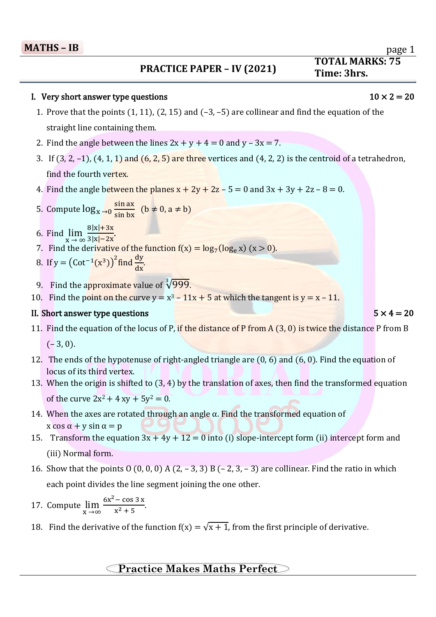## $\overline{a}$ **- PRACTICE PAPER – IV** (2021) Time: 3hrs.

# **TOTAL MARKS: 75**

### I. Very short answer type questions  $10 \times 2 = 20$

- 1. Prove that the points (1, 11), (2, 15) and (–3, –5) are collinear and find the equation of the straight line containing them.
- 2. Find the angle between the lines  $2x + y + 4 = 0$  and  $y 3x = 7$ .
- 3. If  $(3, 2, -1)$ ,  $(4, 1, 1)$  and  $(6, 2, 5)$  are three vertices and  $(4, 2, 2)$  is the centroid of a tetrahedron, find the fourth vertex.
- 4. Find the angle between the planes  $x + 2y + 2z 5 = 0$  and  $3x + 3y + 2z 8 = 0$ .

5. Compute 
$$
\log_{x} \rightarrow 0 \frac{\sin ax}{\sin bx}
$$
 (b  $\neq$  0, a  $\neq$  b)

- 6. Find  $\lim_{x \to \infty}$  $8|x|+3x$  $\frac{3|x|-2x}{-2x}$
- 7. Find the derivative of the function  $f(x) = log_7(log_e x)$  (x > 0).
- 8. If  $y = (Cot^{-1}(x^3))^2$  find  $\frac{dy}{dx}$ .
- 9. Find the approximate value of <sup>3</sup>/999.
- 10. Find the point on the curve  $y = x^3 11x + 5$  at which the tangent is  $y = x 11$ .

### II. Short answer type questions  $5 \times 4 = 20$

- 11. Find the equation of the locus of P, if the distance of P from  $A(3, 0)$  is twice the distance P from B  $(-3, 0).$
- 12. The ends of the hypotenuse of right-angled triangle are (0, 6) and (6, 0). Find the equation of locus of its third vertex.
- 13. When the origin is shifted to (3, 4) by the translation of axes, then find the transformed equation of the curve  $2x^2 + 4xy + 5y^2 = 0$ .
- 14. When the axes are rotated through an angle  $\alpha$ . Find the transformed equation of x cos  $\alpha$  + y sin  $\alpha$  = p
- 15. Transform the equation  $3x + 4y + 12 = 0$  into (i) slope-intercept form (ii) intercept form and (iii) Normal form.
- 16. Show that the points  $0$  (0, 0, 0) A (2, -3, 3) B (-2, 3, -3) are collinear. Find the ratio in which each point divides the line segment joining the one other.
- 17. Compute  $\lim_{x \to \infty}$  $6x^2$  – cos 3 x  $\frac{\csc 32 \cdot \csc n}{x^2 + 5}$ .
- 18. Find the derivative of the function  $f(x) = \sqrt{x+1}$ , from the first principle of derivative.

### **Practice Makes Maths Perfect**